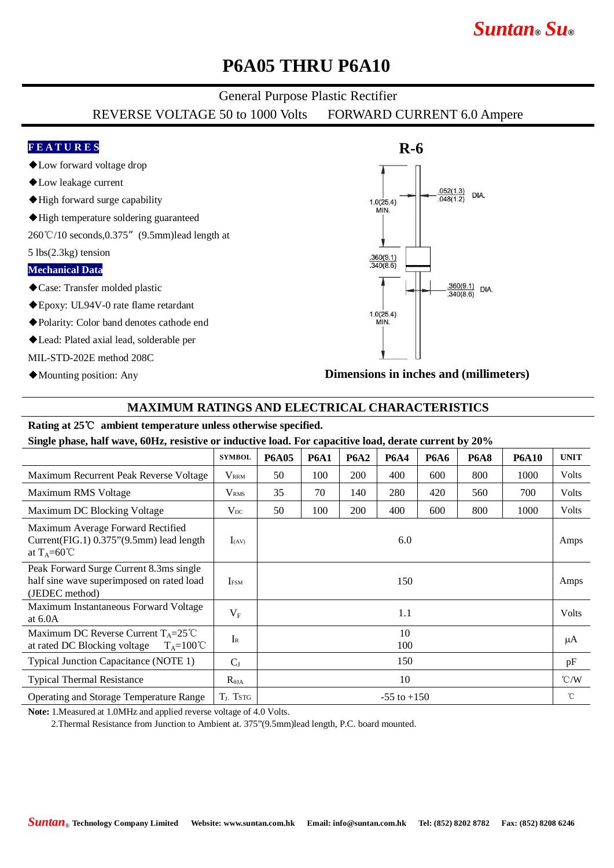# *Suntan***®** *Su***®**

# **P6A05 THRU P6A10**

### General Purpose Plastic Rectifier

REVERSE VOLTAGE 50 to 1000 Volts FORWARD CURRENT 6.0 Ampere

## **F E A T U R E S**

- ◆Low forward voltage drop
- ◆Low leakage current
- ◆High forward surge capability
- ◆High temperature soldering guaranteed

260℃/10 seconds,0.375"(9.5mm)lead length at

5 lbs(2.3kg) tension

#### **Mechanical Data**

- ◆Case: Transfer molded plastic
- ◆Epoxy: UL94V-0 rate flame retardant
- ◆Polarity: Color band denotes cathode end
- ◆Lead: Plated axial lead, solderable per

MIL-STD-202E method 208C

◆Mounting position: Any



**Dimensions in inches and (millimeters)**

### **MAXIMUM RATINGS AND ELECTRICAL CHARACTERISTICS**

#### **Rating at 25**℃ **ambient temperature unless otherwise specified.**

**Single phase, half wave, 60Hz, resistive or inductive load. For capacitive load, derate current by 20%**

|                                                                                                        | <b>SYMBOL</b>           | <b>P6A05</b>    | <b>P6A1</b> | <b>P6A2</b> | <b>P6A4</b> | <b>P6A6</b> | <b>P6A8</b> | <b>P6A10</b> | <b>UNIT</b>   |
|--------------------------------------------------------------------------------------------------------|-------------------------|-----------------|-------------|-------------|-------------|-------------|-------------|--------------|---------------|
| Maximum Recurrent Peak Reverse Voltage                                                                 | $V_{\rm RRM}$           | 50              | 100         | <b>200</b>  | 400         | 600         | 800         | 1000         | Volts         |
| Maximum RMS Voltage                                                                                    | $\rm V_{RMS}$           | 35              | 70          | 140         | 280         | 420         | 560         | 700          | Volts         |
| Maximum DC Blocking Voltage                                                                            | $V_{DC}$                | 50              | 100         | 200         | 400         | 600         | 800         | 1000         | Volts         |
| Maximum Average Forward Rectified<br>Current(FIG.1) 0.375"(9.5mm) lead length<br>at $T_A=60^{\circ}C$  | $I_{(AV)}$              | 6.0             |             |             |             |             |             |              | Amps          |
| Peak Forward Surge Current 8.3ms single<br>half sine wave superimposed on rated load<br>(JEDEC method) | <b>I</b> <sub>FSM</sub> | 150             |             |             |             |             |             |              | Amps          |
| Maximum Instantaneous Forward Voltage<br>at $6.0A$                                                     | $V_{\rm F}$             | 1.1             |             |             |             |             |             |              | Volts         |
| Maximum DC Reverse Current $T_A = 25^{\circ}C$<br>at rated DC Blocking voltage<br>$T_A=100^{\circ}C$   | $I_{R}$                 | 10<br>100       |             |             |             |             |             |              | μA            |
| Typical Junction Capacitance (NOTE 1)                                                                  | $C_{J}$                 | 150             |             |             |             |             |             |              | pF            |
| <b>Typical Thermal Resistance</b>                                                                      | $R_{\theta JA}$         | 10              |             |             |             |             |             |              | $\degree$ C/W |
| Operating and Storage Temperature Range                                                                | $TL$ , Tstg             | $-55$ to $+150$ |             |             |             |             |             |              | °C            |

**Note:** 1.Measured at 1.0MHz and applied reverse voltage of 4.0 Volts.

2.Thermal Resistance from Junction to Ambient at. 375"(9.5mm)lead length, P.C. board mounted.